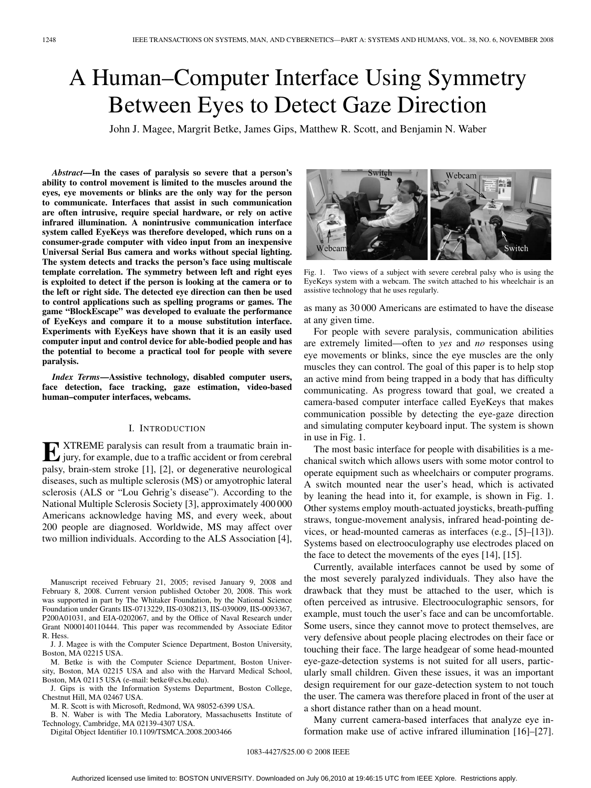# A Human–Computer Interface Using Symmetry Between Eyes to Detect Gaze Direction

John J. Magee, Margrit Betke, James Gips, Matthew R. Scott, and Benjamin N. Waber

*Abstract***—In the cases of paralysis so severe that a person's ability to control movement is limited to the muscles around the eyes, eye movements or blinks are the only way for the person to communicate. Interfaces that assist in such communication are often intrusive, require special hardware, or rely on active infrared illumination. A nonintrusive communication interface system called EyeKeys was therefore developed, which runs on a consumer-grade computer with video input from an inexpensive Universal Serial Bus camera and works without special lighting. The system detects and tracks the person's face using multiscale template correlation. The symmetry between left and right eyes is exploited to detect if the person is looking at the camera or to the left or right side. The detected eye direction can then be used to control applications such as spelling programs or games. The game "BlockEscape" was developed to evaluate the performance of EyeKeys and compare it to a mouse substitution interface. Experiments with EyeKeys have shown that it is an easily used computer input and control device for able-bodied people and has the potential to become a practical tool for people with severe paralysis.**

*Index Terms***—Assistive technology, disabled computer users, face detection, face tracking, gaze estimation, video-based human–computer interfaces, webcams.**

# I. INTRODUCTION

**E** XTREME paralysis can result from a traumatic brain in-<br>jury, for example, due to a traffic accident or from cerebral palsy, brain-stem stroke [1], [2], or degenerative neurological diseases, such as multiple sclerosis (MS) or amyotrophic lateral sclerosis (ALS or "Lou Gehrig's disease"). According to the National Multiple Sclerosis Society [3], approximately 400 000 Americans acknowledge having MS, and every week, about 200 people are diagnosed. Worldwide, MS may affect over two million individuals. According to the ALS Association [4],

Manuscript received February 21, 2005; revised January 9, 2008 and February 8, 2008. Current version published October 20, 2008. This work was supported in part by The Whitaker Foundation, by the National Science Foundation under Grants IIS-0713229, IIS-0308213, IIS-039009, IIS-0093367, P200A01031, and EIA-0202067, and by the Office of Naval Research under Grant N000140110444. This paper was recommended by Associate Editor R. Hess.

J. J. Magee is with the Computer Science Department, Boston University, Boston, MA 02215 USA.

M. Betke is with the Computer Science Department, Boston University, Boston, MA 02215 USA and also with the Harvard Medical School, Boston, MA 02115 USA (e-mail: betke@cs.bu.edu).

J. Gips is with the Information Systems Department, Boston College, Chestnut Hill, MA 02467 USA.

M. R. Scott is with Microsoft, Redmond, WA 98052-6399 USA.

B. N. Waber is with The Media Laboratory, Massachusetts Institute of

Technology, Cambridge, MA 02139-4307 USA.

Digital Object Identifier 10.1109/TSMCA.2008.2003466



Fig. 1. Two views of a subject with severe cerebral palsy who is using the EyeKeys system with a webcam. The switch attached to his wheelchair is an assistive technology that he uses regularly.

as many as 30 000 Americans are estimated to have the disease at any given time.

For people with severe paralysis, communication abilities are extremely limited—often to *yes* and *no* responses using eye movements or blinks, since the eye muscles are the only muscles they can control. The goal of this paper is to help stop an active mind from being trapped in a body that has difficulty communicating. As progress toward that goal, we created a camera-based computer interface called EyeKeys that makes communication possible by detecting the eye-gaze direction and simulating computer keyboard input. The system is shown in use in Fig. 1.

The most basic interface for people with disabilities is a mechanical switch which allows users with some motor control to operate equipment such as wheelchairs or computer programs. A switch mounted near the user's head, which is activated by leaning the head into it, for example, is shown in Fig. 1. Other systems employ mouth-actuated joysticks, breath-puffing straws, tongue-movement analysis, infrared head-pointing devices, or head-mounted cameras as interfaces (e.g., [5]–[13]). Systems based on electrooculography use electrodes placed on the face to detect the movements of the eyes [14], [15].

Currently, available interfaces cannot be used by some of the most severely paralyzed individuals. They also have the drawback that they must be attached to the user, which is often perceived as intrusive. Electrooculographic sensors, for example, must touch the user's face and can be uncomfortable. Some users, since they cannot move to protect themselves, are very defensive about people placing electrodes on their face or touching their face. The large headgear of some head-mounted eye-gaze-detection systems is not suited for all users, particularly small children. Given these issues, it was an important design requirement for our gaze-detection system to not touch the user. The camera was therefore placed in front of the user at a short distance rather than on a head mount.

Many current camera-based interfaces that analyze eye information make use of active infrared illumination [16]–[27].

1083-4427/\$25.00 © 2008 IEEE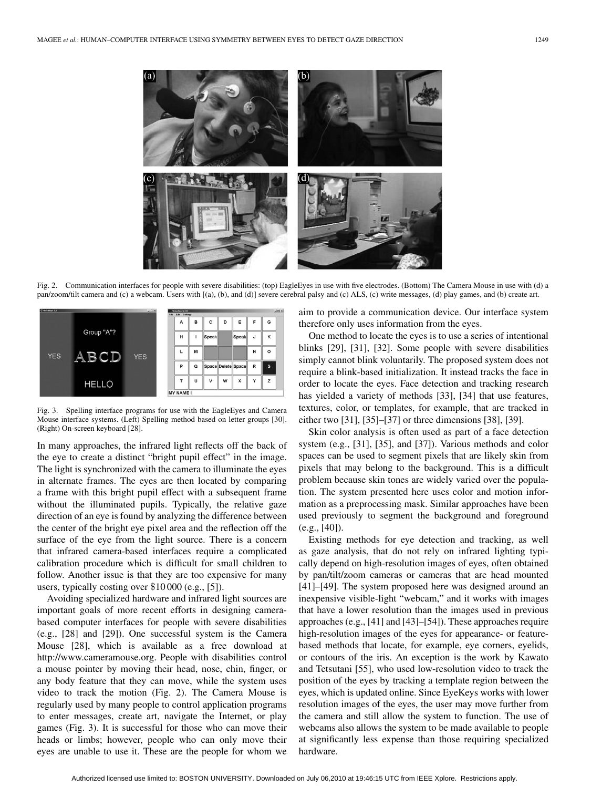

Fig. 2. Communication interfaces for people with severe disabilities: (top) EagleEyes in use with five electrodes. (Bottom) The Camera Mouse in use with (d) a pan/zoom/tilt camera and (c) a webcam. Users with [(a), (b), and (d)] severe cerebral palsy and (c) ALS, (c) write messages, (d) play games, and (b) create art.



Fig. 3. Spelling interface programs for use with the EagleEyes and Camera Mouse interface systems. (Left) Spelling method based on letter groups [30]. (Right) On-screen keyboard [28].

In many approaches, the infrared light reflects off the back of the eye to create a distinct "bright pupil effect" in the image. The light is synchronized with the camera to illuminate the eyes in alternate frames. The eyes are then located by comparing a frame with this bright pupil effect with a subsequent frame without the illuminated pupils. Typically, the relative gaze direction of an eye is found by analyzing the difference between the center of the bright eye pixel area and the reflection off the surface of the eye from the light source. There is a concern that infrared camera-based interfaces require a complicated calibration procedure which is difficult for small children to follow. Another issue is that they are too expensive for many users, typically costing over \$10 000 (e.g., [5]).

Avoiding specialized hardware and infrared light sources are important goals of more recent efforts in designing camerabased computer interfaces for people with severe disabilities (e.g., [28] and [29]). One successful system is the Camera Mouse [28], which is available as a free download at http://www.cameramouse.org. People with disabilities control a mouse pointer by moving their head, nose, chin, finger, or any body feature that they can move, while the system uses video to track the motion (Fig. 2). The Camera Mouse is regularly used by many people to control application programs to enter messages, create art, navigate the Internet, or play games (Fig. 3). It is successful for those who can move their heads or limbs; however, people who can only move their eyes are unable to use it. These are the people for whom we

aim to provide a communication device. Our interface system therefore only uses information from the eyes.

One method to locate the eyes is to use a series of intentional blinks [29], [31], [32]. Some people with severe disabilities simply cannot blink voluntarily. The proposed system does not require a blink-based initialization. It instead tracks the face in order to locate the eyes. Face detection and tracking research has yielded a variety of methods [33], [34] that use features, textures, color, or templates, for example, that are tracked in either two [31], [35]–[37] or three dimensions [38], [39].

Skin color analysis is often used as part of a face detection system (e.g., [31], [35], and [37]). Various methods and color spaces can be used to segment pixels that are likely skin from pixels that may belong to the background. This is a difficult problem because skin tones are widely varied over the population. The system presented here uses color and motion information as a preprocessing mask. Similar approaches have been used previously to segment the background and foreground  $(e.g., [40])$ .

Existing methods for eye detection and tracking, as well as gaze analysis, that do not rely on infrared lighting typically depend on high-resolution images of eyes, often obtained by pan/tilt/zoom cameras or cameras that are head mounted [41]–[49]. The system proposed here was designed around an inexpensive visible-light "webcam," and it works with images that have a lower resolution than the images used in previous approaches (e.g., [41] and [43]–[54]). These approaches require high-resolution images of the eyes for appearance- or featurebased methods that locate, for example, eye corners, eyelids, or contours of the iris. An exception is the work by Kawato and Tetsutani [55], who used low-resolution video to track the position of the eyes by tracking a template region between the eyes, which is updated online. Since EyeKeys works with lower resolution images of the eyes, the user may move further from the camera and still allow the system to function. The use of webcams also allows the system to be made available to people at significantly less expense than those requiring specialized hardware.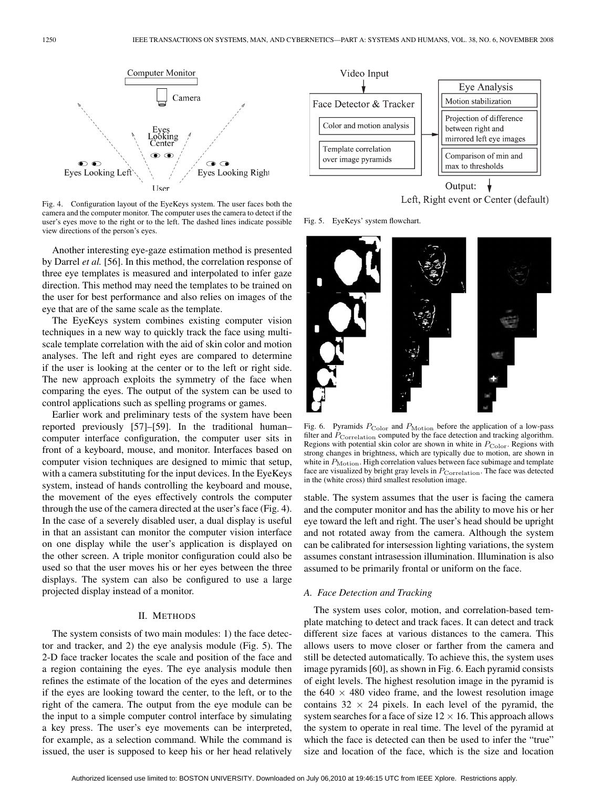

Fig. 4. Configuration layout of the EyeKeys system. The user faces both the camera and the computer monitor. The computer uses the camera to detect if the user's eyes move to the right or to the left. The dashed lines indicate possible view directions of the person's eyes.

Another interesting eye-gaze estimation method is presented by Darrel *et al.* [56]. In this method, the correlation response of three eye templates is measured and interpolated to infer gaze direction. This method may need the templates to be trained on the user for best performance and also relies on images of the eye that are of the same scale as the template.

The EyeKeys system combines existing computer vision techniques in a new way to quickly track the face using multiscale template correlation with the aid of skin color and motion analyses. The left and right eyes are compared to determine if the user is looking at the center or to the left or right side. The new approach exploits the symmetry of the face when comparing the eyes. The output of the system can be used to control applications such as spelling programs or games.

Earlier work and preliminary tests of the system have been reported previously [57]–[59]. In the traditional human– computer interface configuration, the computer user sits in front of a keyboard, mouse, and monitor. Interfaces based on computer vision techniques are designed to mimic that setup, with a camera substituting for the input devices. In the EyeKeys system, instead of hands controlling the keyboard and mouse, the movement of the eyes effectively controls the computer through the use of the camera directed at the user's face (Fig. 4). In the case of a severely disabled user, a dual display is useful in that an assistant can monitor the computer vision interface on one display while the user's application is displayed on the other screen. A triple monitor configuration could also be used so that the user moves his or her eyes between the three displays. The system can also be configured to use a large projected display instead of a monitor.

## II. METHODS

The system consists of two main modules: 1) the face detector and tracker, and 2) the eye analysis module (Fig. 5). The 2-D face tracker locates the scale and position of the face and a region containing the eyes. The eye analysis module then refines the estimate of the location of the eyes and determines if the eyes are looking toward the center, to the left, or to the right of the camera. The output from the eye module can be the input to a simple computer control interface by simulating a key press. The user's eye movements can be interpreted, for example, as a selection command. While the command is issued, the user is supposed to keep his or her head relatively



Output: Left, Right event or Center (default)

Fig. 5. EyeKeys' system flowchart.



Fig. 6. Pyramids  $P_{\text{Color}}$  and  $P_{\text{Motion}}$  before the application of a low-pass filter and  $P_{\rm Correlation}$  computed by the face detection and tracking algorithm. Regions with potential skin color are shown in white in  $P_{\text{Color}}$ . Regions with strong changes in brightness, which are typically due to motion, are shown in white in  $P_{\text{Motion}}$ . High correlation values between face subimage and template face are visualized by bright gray levels in  $P_{\text{Correlation}}$ . The face was detected in the (white cross) third smallest resolution image.

stable. The system assumes that the user is facing the camera and the computer monitor and has the ability to move his or her eye toward the left and right. The user's head should be upright and not rotated away from the camera. Although the system can be calibrated for intersession lighting variations, the system assumes constant intrasession illumination. Illumination is also assumed to be primarily frontal or uniform on the face.

## *A. Face Detection and Tracking*

The system uses color, motion, and correlation-based template matching to detect and track faces. It can detect and track different size faces at various distances to the camera. This allows users to move closer or farther from the camera and still be detected automatically. To achieve this, the system uses image pyramids [60], as shown in Fig. 6. Each pyramid consists of eight levels. The highest resolution image in the pyramid is the  $640 \times 480$  video frame, and the lowest resolution image contains  $32 \times 24$  pixels. In each level of the pyramid, the system searches for a face of size  $12 \times 16$ . This approach allows the system to operate in real time. The level of the pyramid at which the face is detected can then be used to infer the "true" size and location of the face, which is the size and location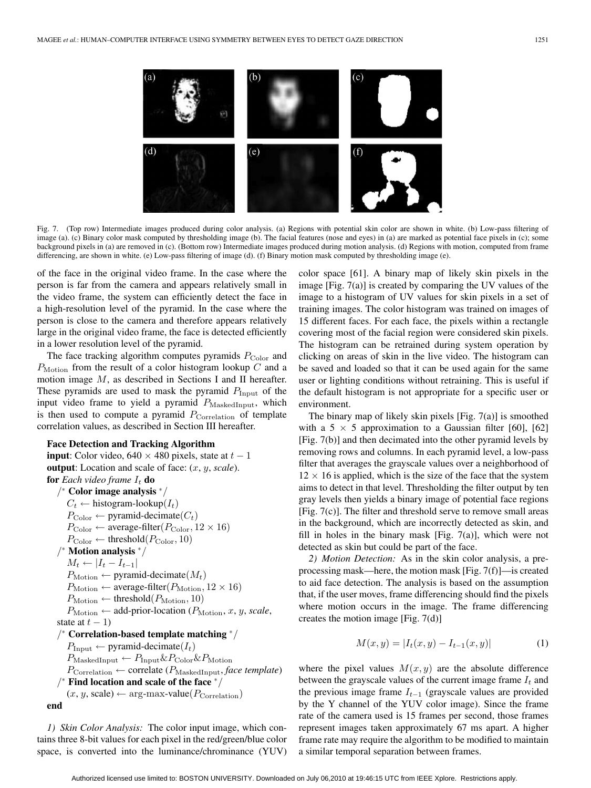

Fig. 7. (Top row) Intermediate images produced during color analysis. (a) Regions with potential skin color are shown in white. (b) Low-pass filtering of image (a). (c) Binary color mask computed by thresholding image (b). The facial features (nose and eyes) in (a) are marked as potential face pixels in (c); some background pixels in (a) are removed in (c). (Bottom row) Intermediate images produced during motion analysis. (d) Regions with motion, computed from frame differencing, are shown in white. (e) Low-pass filtering of image (d). (f) Binary motion mask computed by thresholding image (e).

of the face in the original video frame. In the case where the person is far from the camera and appears relatively small in the video frame, the system can efficiently detect the face in a high-resolution level of the pyramid. In the case where the person is close to the camera and therefore appears relatively large in the original video frame, the face is detected efficiently in a lower resolution level of the pyramid.

The face tracking algorithm computes pyramids  $P_{\text{Color}}$  and  $P_{\text{Motion}}$  from the result of a color histogram lookup  $C$  and a motion image M, as described in Sections I and II hereafter. These pyramids are used to mask the pyramid  $P_{Input}$  of the input video frame to yield a pyramid  $P_{\text{MaskedInput}}$ , which is then used to compute a pyramid  $P_{\text{Correlation}}$  of template correlation values, as described in Section III hereafter.

# **Face Detection and Tracking Algorithm**

**input**: Color video,  $640 \times 480$  pixels, state at  $t - 1$ **output**: Location and scale of face:  $(x, y, scale)$ . **for** *Each video frame*  $I_t$  **do** /<sup>∗</sup> **Color image analysis** <sup>∗</sup>/  $C_t \leftarrow$  histogram-lookup $(I_t)$  $P_{\text{Color}} \leftarrow$  pyramid-decimate $(C_t)$  $P_{\text{Color}} \leftarrow \text{average-filter}(P_{\text{Color}}, 12 \times 16)$  $P_{\text{Color}} \leftarrow \text{threshold}(P_{\text{Color}}, 10)$ /<sup>∗</sup> **Motion analysis** <sup>∗</sup>/  $M_t \leftarrow |I_t - I_{t-1}|$  $P_{\text{Motion}} \leftarrow$  pyramid-decimate $(M_t)$  $P_{\rm Motion} \leftarrow \text{average-filter}(P_{\rm Motion}, 12 \times 16)$  $P_{\text{Motion}} \leftarrow \text{threshold}(P_{\text{Motion}}, 10)$  $P_{\text{Motion}} \leftarrow$  add-prior-location ( $P_{\text{Motion}}$ , x, y, scale, state at  $t - 1$ ) /<sup>∗</sup> **Correlation-based template matching** <sup>∗</sup>/  $P_{\text{Input}} \leftarrow$  pyramid-decimate( $I_t$ )  $P_{\text{MaskedInput}} \leftarrow P_{\text{Input}} \& P_{\text{Color}} \& P_{\text{Motion}}$  $P_{\text{Correlation}} \leftarrow \text{correlate} (P_{\text{MaskedInput}}, \text{face template})$ /<sup>∗</sup> **Find location and scale of the face** <sup>∗</sup>/  $(x, y, scale) \leftarrow arg-max-value(P_{Correlation})$ 



*1) Skin Color Analysis:* The color input image, which contains three 8-bit values for each pixel in the red/green/blue color space, is converted into the luminance/chrominance (YUV)

color space [61]. A binary map of likely skin pixels in the image [Fig. 7(a)] is created by comparing the UV values of the image to a histogram of UV values for skin pixels in a set of training images. The color histogram was trained on images of 15 different faces. For each face, the pixels within a rectangle covering most of the facial region were considered skin pixels. The histogram can be retrained during system operation by clicking on areas of skin in the live video. The histogram can be saved and loaded so that it can be used again for the same user or lighting conditions without retraining. This is useful if the default histogram is not appropriate for a specific user or environment.

The binary map of likely skin pixels [Fig. 7(a)] is smoothed with a 5  $\times$  5 approximation to a Gaussian filter [60], [62] [Fig. 7(b)] and then decimated into the other pyramid levels by removing rows and columns. In each pyramid level, a low-pass filter that averages the grayscale values over a neighborhood of  $12 \times 16$  is applied, which is the size of the face that the system aims to detect in that level. Thresholding the filter output by ten gray levels then yields a binary image of potential face regions [Fig. 7(c)]. The filter and threshold serve to remove small areas in the background, which are incorrectly detected as skin, and fill in holes in the binary mask  $[Fig. 7(a)]$ , which were not detected as skin but could be part of the face.

*2) Motion Detection:* As in the skin color analysis, a preprocessing mask—here, the motion mask [Fig. 7(f)]—is created to aid face detection. The analysis is based on the assumption that, if the user moves, frame differencing should find the pixels where motion occurs in the image. The frame differencing creates the motion image [Fig. 7(d)]

$$
M(x, y) = |I_t(x, y) - I_{t-1}(x, y)| \tag{1}
$$

where the pixel values  $M(x, y)$  are the absolute difference between the grayscale values of the current image frame  $I_t$  and the previous image frame  $I_{t-1}$  (grayscale values are provided by the Y channel of the YUV color image). Since the frame rate of the camera used is 15 frames per second, those frames represent images taken approximately 67 ms apart. A higher frame rate may require the algorithm to be modified to maintain a similar temporal separation between frames.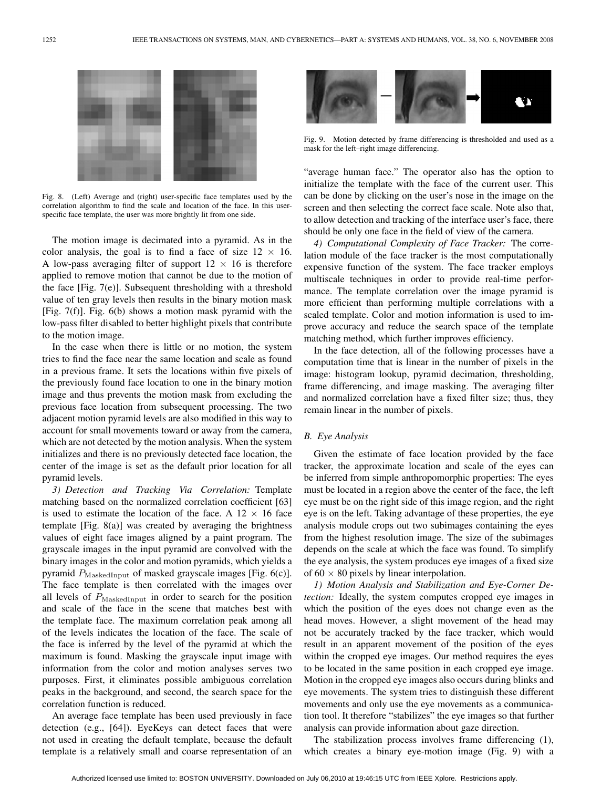

Fig. 8. (Left) Average and (right) user-specific face templates used by the correlation algorithm to find the scale and location of the face. In this userspecific face template, the user was more brightly lit from one side.

The motion image is decimated into a pyramid. As in the color analysis, the goal is to find a face of size  $12 \times 16$ . A low-pass averaging filter of support  $12 \times 16$  is therefore applied to remove motion that cannot be due to the motion of the face [Fig. 7(e)]. Subsequent thresholding with a threshold value of ten gray levels then results in the binary motion mask [Fig. 7(f)]. Fig. 6(b) shows a motion mask pyramid with the low-pass filter disabled to better highlight pixels that contribute to the motion image.

In the case when there is little or no motion, the system tries to find the face near the same location and scale as found in a previous frame. It sets the locations within five pixels of the previously found face location to one in the binary motion image and thus prevents the motion mask from excluding the previous face location from subsequent processing. The two adjacent motion pyramid levels are also modified in this way to account for small movements toward or away from the camera, which are not detected by the motion analysis. When the system initializes and there is no previously detected face location, the center of the image is set as the default prior location for all pyramid levels.

*3) Detection and Tracking Via Correlation:* Template matching based on the normalized correlation coefficient [63] is used to estimate the location of the face. A  $12 \times 16$  face template [Fig. 8(a)] was created by averaging the brightness values of eight face images aligned by a paint program. The grayscale images in the input pyramid are convolved with the binary images in the color and motion pyramids, which yields a pyramid  $P_{\text{MaskedInput}}$  of masked grayscale images [Fig. 6(c)]. The face template is then correlated with the images over all levels of  $P_{\text{MaskedInput}}$  in order to search for the position and scale of the face in the scene that matches best with the template face. The maximum correlation peak among all of the levels indicates the location of the face. The scale of the face is inferred by the level of the pyramid at which the maximum is found. Masking the grayscale input image with information from the color and motion analyses serves two purposes. First, it eliminates possible ambiguous correlation peaks in the background, and second, the search space for the correlation function is reduced.

An average face template has been used previously in face detection (e.g., [64]). EyeKeys can detect faces that were not used in creating the default template, because the default template is a relatively small and coarse representation of an



Fig. 9. Motion detected by frame differencing is thresholded and used as a mask for the left–right image differencing.

"average human face." The operator also has the option to initialize the template with the face of the current user. This can be done by clicking on the user's nose in the image on the screen and then selecting the correct face scale. Note also that, to allow detection and tracking of the interface user's face, there should be only one face in the field of view of the camera.

*4) Computational Complexity of Face Tracker:* The correlation module of the face tracker is the most computationally expensive function of the system. The face tracker employs multiscale techniques in order to provide real-time performance. The template correlation over the image pyramid is more efficient than performing multiple correlations with a scaled template. Color and motion information is used to improve accuracy and reduce the search space of the template matching method, which further improves efficiency.

In the face detection, all of the following processes have a computation time that is linear in the number of pixels in the image: histogram lookup, pyramid decimation, thresholding, frame differencing, and image masking. The averaging filter and normalized correlation have a fixed filter size; thus, they remain linear in the number of pixels.

## *B. Eye Analysis*

Given the estimate of face location provided by the face tracker, the approximate location and scale of the eyes can be inferred from simple anthropomorphic properties: The eyes must be located in a region above the center of the face, the left eye must be on the right side of this image region, and the right eye is on the left. Taking advantage of these properties, the eye analysis module crops out two subimages containing the eyes from the highest resolution image. The size of the subimages depends on the scale at which the face was found. To simplify the eye analysis, the system produces eye images of a fixed size of  $60 \times 80$  pixels by linear interpolation.

*1) Motion Analysis and Stabilization and Eye-Corner Detection:* Ideally, the system computes cropped eye images in which the position of the eyes does not change even as the head moves. However, a slight movement of the head may not be accurately tracked by the face tracker, which would result in an apparent movement of the position of the eyes within the cropped eye images. Our method requires the eyes to be located in the same position in each cropped eye image. Motion in the cropped eye images also occurs during blinks and eye movements. The system tries to distinguish these different movements and only use the eye movements as a communication tool. It therefore "stabilizes" the eye images so that further analysis can provide information about gaze direction.

The stabilization process involves frame differencing (1), which creates a binary eye-motion image (Fig. 9) with a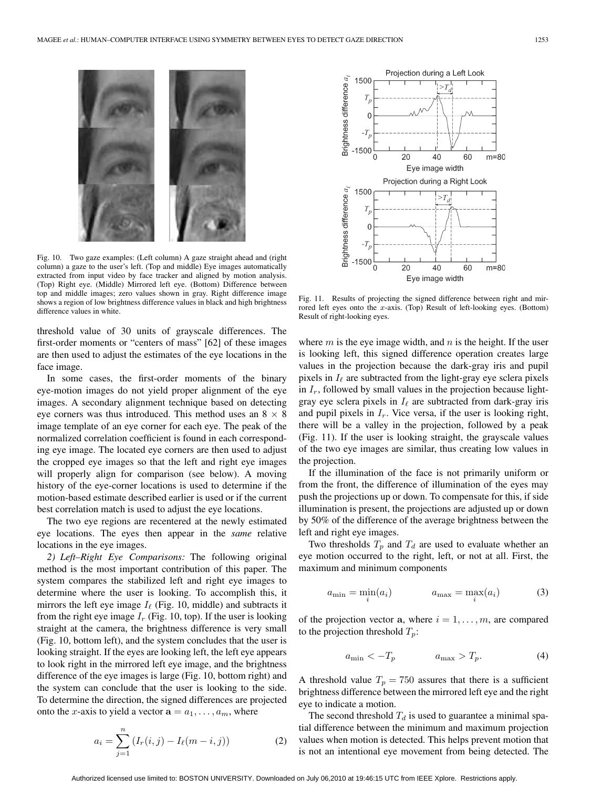

Fig. 10. Two gaze examples: (Left column) A gaze straight ahead and (right column) a gaze to the user's left. (Top and middle) Eye images automatically extracted from input video by face tracker and aligned by motion analysis. (Top) Right eye. (Middle) Mirrored left eye. (Bottom) Difference between top and middle images; zero values shown in gray. Right difference image shows a region of low brightness difference values in black and high brightness difference values in white.

threshold value of 30 units of grayscale differences. The first-order moments or "centers of mass" [62] of these images are then used to adjust the estimates of the eye locations in the face image.

In some cases, the first-order moments of the binary eye-motion images do not yield proper alignment of the eye images. A secondary alignment technique based on detecting eye corners was thus introduced. This method uses an  $8 \times 8$ image template of an eye corner for each eye. The peak of the normalized correlation coefficient is found in each corresponding eye image. The located eye corners are then used to adjust the cropped eye images so that the left and right eye images will properly align for comparison (see below). A moving history of the eye-corner locations is used to determine if the motion-based estimate described earlier is used or if the current best correlation match is used to adjust the eye locations.

The two eye regions are recentered at the newly estimated eye locations. The eyes then appear in the *same* relative locations in the eye images.

*2) Left–Right Eye Comparisons:* The following original method is the most important contribution of this paper. The system compares the stabilized left and right eye images to determine where the user is looking. To accomplish this, it mirrors the left eye image  $I_{\ell}$  (Fig. 10, middle) and subtracts it from the right eye image  $I_r$  (Fig. 10, top). If the user is looking straight at the camera, the brightness difference is very small (Fig. 10, bottom left), and the system concludes that the user is looking straight. If the eyes are looking left, the left eye appears to look right in the mirrored left eye image, and the brightness difference of the eye images is large (Fig. 10, bottom right) and the system can conclude that the user is looking to the side. To determine the direction, the signed differences are projected onto the *x*-axis to yield a vector  $\mathbf{a} = a_1, \dots, a_m$ , where

$$
a_i = \sum_{j=1}^{n} (I_r(i,j) - I_\ell(m-i,j))
$$
 (2)



Fig. 11. Results of projecting the signed difference between right and mirrored left eyes onto the  $x$ -axis. (Top) Result of left-looking eyes. (Bottom) Result of right-looking eyes.

where  $m$  is the eye image width, and  $n$  is the height. If the user is looking left, this signed difference operation creates large values in the projection because the dark-gray iris and pupil pixels in  $I_{\ell}$  are subtracted from the light-gray eye sclera pixels in  $I_r$ , followed by small values in the projection because lightgray eye sclera pixels in  $I_{\ell}$  are subtracted from dark-gray iris and pupil pixels in  $I_r$ . Vice versa, if the user is looking right, there will be a valley in the projection, followed by a peak (Fig. 11). If the user is looking straight, the grayscale values of the two eye images are similar, thus creating low values in the projection.

If the illumination of the face is not primarily uniform or from the front, the difference of illumination of the eyes may push the projections up or down. To compensate for this, if side illumination is present, the projections are adjusted up or down by 50% of the difference of the average brightness between the left and right eye images.

Two thresholds  $T_p$  and  $T_d$  are used to evaluate whether an eye motion occurred to the right, left, or not at all. First, the maximum and minimum components

$$
a_{\min} = \min_i(a_i) \qquad \qquad a_{\max} = \max_i(a_i) \qquad \qquad (3)
$$

of the projection vector **a**, where  $i = 1, \ldots, m$ , are compared to the projection threshold  $T_p$ :

$$
a_{\min} < -T_p \qquad \qquad a_{\max} > T_p. \tag{4}
$$

A threshold value  $T_p = 750$  assures that there is a sufficient brightness difference between the mirrored left eye and the right eye to indicate a motion.

The second threshold  $T_d$  is used to guarantee a minimal spatial difference between the minimum and maximum projection values when motion is detected. This helps prevent motion that is not an intentional eye movement from being detected. The

Authorized licensed use limited to: BOSTON UNIVERSITY. Downloaded on July 06,2010 at 19:46:15 UTC from IEEE Xplore. Restrictions apply.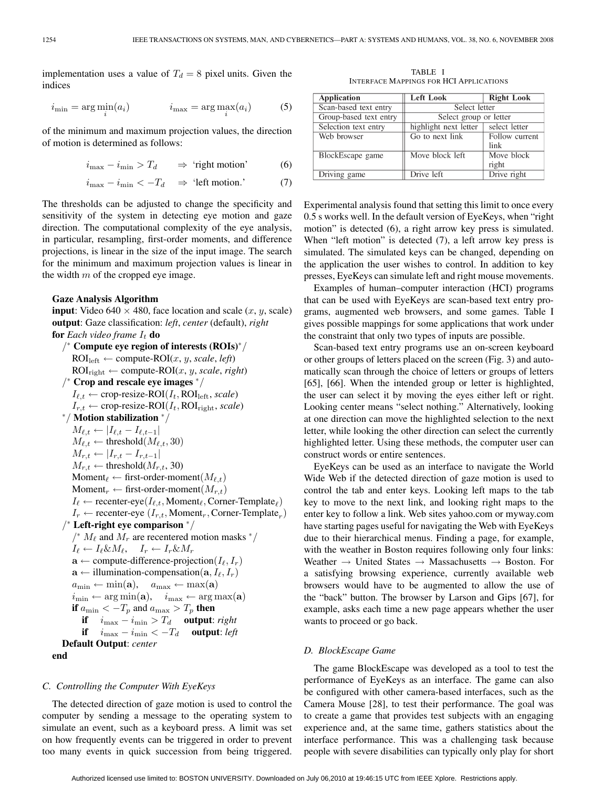implementation uses a value of  $T_d = 8$  pixel units. Given the indices

$$
i_{\min} = \arg\min_{i}(a_i) \qquad i_{\max} = \arg\max_{i}(a_i) \qquad (5)
$$

of the minimum and maximum projection values, the direction of motion is determined as follows:

 $i_{\text{max}} - i_{\text{min}} > T_d \Rightarrow$  'right motion' (6)

$$
i_{\max} - i_{\min} < -T_d \quad \Rightarrow \text{ 'left motion.'}
$$

The thresholds can be adjusted to change the specificity and sensitivity of the system in detecting eye motion and gaze direction. The computational complexity of the eye analysis, in particular, resampling, first-order moments, and difference projections, is linear in the size of the input image. The search for the minimum and maximum projection values is linear in the width  $m$  of the cropped eye image.

## **Gaze Analysis Algorithm**

**input**: Video 640  $\times$  480, face location and scale  $(x, y, scale)$ **output**: Gaze classification: *left*, *center* (default), *right* **for** *Each video frame*  $I_t$  **do** 

```
/∗ Compute eye region of interests (ROIs)∗/
        ROI<sub>left</sub> \leftarrow compute-ROM(x, y, scale, left)ROI_{right} \leftarrow compute-ROM(x, y, scale, right)/∗ Crop and rescale eye images ∗/
        I_{\ell,t} \leftarrow \text{crop-resize-ROI}(I_t, \text{ROI}_{\text{left}}, scale)I_{r,t} ← crop-resize-ROI(I_t, ROI<sub>right</sub>, scale)<br>*/ Motion stabilization */
        M_{\ell,t} \leftarrow |I_{\ell,t} - I_{\ell,t-1}|M_{\ell,t} \leftarrow threshold(M_{\ell,t}, 30)M_{r,t} \leftarrow |I_{r,t} - I_{r,t-1}|M_{r,t} \leftarrow threshold(M_{r,t}, 30)Moment<sub>\ell</sub> \leftarrow first-order-moment(M_{\ell,t})Moment<sub>r</sub> ← first-order-moment(M_{r,t})I_{\ell} \leftarrow recenter-eye(I_{\ell,t}, Moment<sub>\ell</sub>, Corner-Template<sub>\ell</sub>)
        I_r \leftarrow recenter-eye (I_{r,t}, \text{Moment}_r, \text{Corner-Template}_r)/∗ Left-right eye comparison ∗/
        \frac{1}{k} M_{\ell} and M_r are recentered motion masks */
        I_{\ell} \leftarrow I_{\ell} \& M_{\ell}, \quad I_r \leftarrow I_r \& M_r\mathbf{a} \leftarrow compute-difference-projection(I_{\ell}, I_r)\mathbf{a} \leftarrow \text{illumination-compensation}(\mathbf{a}, I_{\ell}, I_r)a_{\min} \leftarrow \min(\mathbf{a}), \quad a_{\max} \leftarrow \max(\mathbf{a})i_{\min} \leftarrow \arg \min(\mathbf{a}), \quad i_{\max} \leftarrow \arg \max(\mathbf{a})if a_{\min} < -T_p and a_{\max} > T_p then
            if i_{\text{max}} - i_{\text{min}} > T_d output: right<br>if i_{\text{max}} - i_{\text{min}} < -T_d output: left
                 i_{\text{max}} - i_{\text{min}} < -T_d output: left
    Default Output: center
end
```
# *C. Controlling the Computer With EyeKeys*

The detected direction of gaze motion is used to control the computer by sending a message to the operating system to simulate an event, such as a keyboard press. A limit was set on how frequently events can be triggered in order to prevent too many events in quick succession from being triggered.

TABLE I INTERFACE MAPPINGS FOR HCI APPLICATIONS

| Application            | <b>Left Look</b>       | <b>Right Look</b> |
|------------------------|------------------------|-------------------|
| Scan-based text entry  | Select letter          |                   |
| Group-based text entry | Select group or letter |                   |
| Selection text entry   | highlight next letter  | select letter     |
| Web browser            | Go to next link        | Follow current    |
|                        |                        | link              |
| BlockEscape game       | Move block left        | Move block        |
|                        |                        | right             |
| Driving game           | Drive left             | Drive right       |

Experimental analysis found that setting this limit to once every 0.5 s works well. In the default version of EyeKeys, when "right motion" is detected (6), a right arrow key press is simulated. When "left motion" is detected (7), a left arrow key press is simulated. The simulated keys can be changed, depending on the application the user wishes to control. In addition to key presses, EyeKeys can simulate left and right mouse movements.

Examples of human–computer interaction (HCI) programs that can be used with EyeKeys are scan-based text entry programs, augmented web browsers, and some games. Table I gives possible mappings for some applications that work under the constraint that only two types of inputs are possible.

Scan-based text entry programs use an on-screen keyboard or other groups of letters placed on the screen (Fig. 3) and automatically scan through the choice of letters or groups of letters [65], [66]. When the intended group or letter is highlighted, the user can select it by moving the eyes either left or right. Looking center means "select nothing." Alternatively, looking at one direction can move the highlighted selection to the next letter, while looking the other direction can select the currently highlighted letter. Using these methods, the computer user can construct words or entire sentences.

EyeKeys can be used as an interface to navigate the World Wide Web if the detected direction of gaze motion is used to control the tab and enter keys. Looking left maps to the tab key to move to the next link, and looking right maps to the enter key to follow a link. Web sites yahoo.com or myway.com have starting pages useful for navigating the Web with EyeKeys due to their hierarchical menus. Finding a page, for example, with the weather in Boston requires following only four links: Weather  $\rightarrow$  United States  $\rightarrow$  Massachusetts  $\rightarrow$  Boston. For a satisfying browsing experience, currently available web browsers would have to be augmented to allow the use of the "back" button. The browser by Larson and Gips [67], for example, asks each time a new page appears whether the user wants to proceed or go back.

#### *D. BlockEscape Game*

The game BlockEscape was developed as a tool to test the performance of EyeKeys as an interface. The game can also be configured with other camera-based interfaces, such as the Camera Mouse [28], to test their performance. The goal was to create a game that provides test subjects with an engaging experience and, at the same time, gathers statistics about the interface performance. This was a challenging task because people with severe disabilities can typically only play for short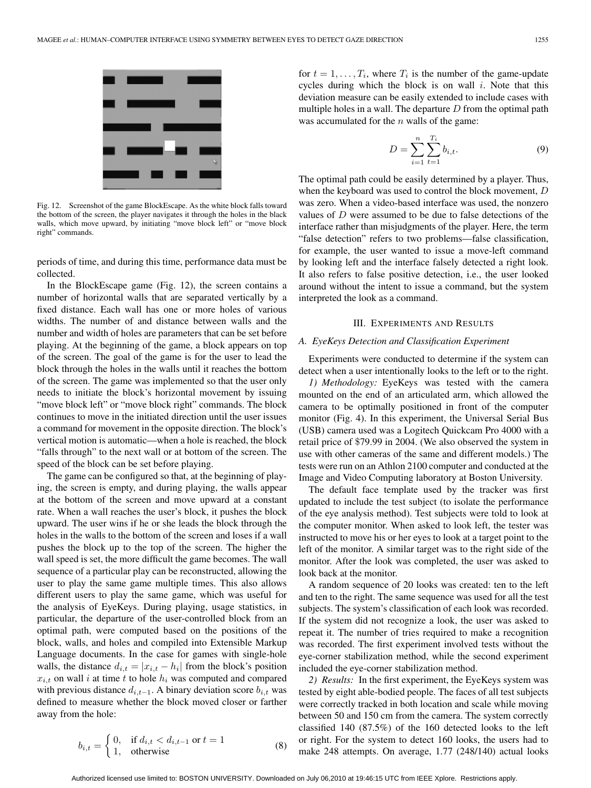

Fig. 12. Screenshot of the game BlockEscape. As the white block falls toward the bottom of the screen, the player navigates it through the holes in the black walls, which move upward, by initiating "move block left" or "move block right" commands.

periods of time, and during this time, performance data must be collected.

In the BlockEscape game (Fig. 12), the screen contains a number of horizontal walls that are separated vertically by a fixed distance. Each wall has one or more holes of various widths. The number of and distance between walls and the number and width of holes are parameters that can be set before playing. At the beginning of the game, a block appears on top of the screen. The goal of the game is for the user to lead the block through the holes in the walls until it reaches the bottom of the screen. The game was implemented so that the user only needs to initiate the block's horizontal movement by issuing "move block left" or "move block right" commands. The block continues to move in the initiated direction until the user issues a command for movement in the opposite direction. The block's vertical motion is automatic—when a hole is reached, the block "falls through" to the next wall or at bottom of the screen. The speed of the block can be set before playing.

The game can be configured so that, at the beginning of playing, the screen is empty, and during playing, the walls appear at the bottom of the screen and move upward at a constant rate. When a wall reaches the user's block, it pushes the block upward. The user wins if he or she leads the block through the holes in the walls to the bottom of the screen and loses if a wall pushes the block up to the top of the screen. The higher the wall speed is set, the more difficult the game becomes. The wall sequence of a particular play can be reconstructed, allowing the user to play the same game multiple times. This also allows different users to play the same game, which was useful for the analysis of EyeKeys. During playing, usage statistics, in particular, the departure of the user-controlled block from an optimal path, were computed based on the positions of the block, walls, and holes and compiled into Extensible Markup Language documents. In the case for games with single-hole walls, the distance  $d_{i,t} = |x_{i,t} - h_i|$  from the block's position  $x_{i,t}$  on wall i at time t to hole  $h_i$  was computed and compared with previous distance  $d_{i,t-1}$ . A binary deviation score  $b_{i,t}$  was defined to measure whether the block moved closer or farther away from the hole:

$$
b_{i,t} = \begin{cases} 0, & \text{if } d_{i,t} < d_{i,t-1} \text{ or } t = 1\\ 1, & \text{otherwise} \end{cases} \tag{8}
$$

for  $t = 1, \ldots, T_i$ , where  $T_i$  is the number of the game-update cycles during which the block is on wall  $i$ . Note that this deviation measure can be easily extended to include cases with multiple holes in a wall. The departure  $D$  from the optimal path was accumulated for the  $n$  walls of the game:

$$
D = \sum_{i=1}^{n} \sum_{t=1}^{T_i} b_{i,t}.
$$
 (9)

The optimal path could be easily determined by a player. Thus, when the keyboard was used to control the block movement,  $D$ was zero. When a video-based interface was used, the nonzero values of D were assumed to be due to false detections of the interface rather than misjudgments of the player. Here, the term "false detection" refers to two problems—false classification, for example, the user wanted to issue a move-left command by looking left and the interface falsely detected a right look. It also refers to false positive detection, i.e., the user looked around without the intent to issue a command, but the system interpreted the look as a command.

## III. EXPERIMENTS AND RESULTS

## *A. EyeKeys Detection and Classification Experiment*

Experiments were conducted to determine if the system can detect when a user intentionally looks to the left or to the right.

*1) Methodology:* EyeKeys was tested with the camera mounted on the end of an articulated arm, which allowed the camera to be optimally positioned in front of the computer monitor (Fig. 4). In this experiment, the Universal Serial Bus (USB) camera used was a Logitech Quickcam Pro 4000 with a retail price of \$79.99 in 2004. (We also observed the system in use with other cameras of the same and different models.) The tests were run on an Athlon 2100 computer and conducted at the Image and Video Computing laboratory at Boston University.

The default face template used by the tracker was first updated to include the test subject (to isolate the performance of the eye analysis method). Test subjects were told to look at the computer monitor. When asked to look left, the tester was instructed to move his or her eyes to look at a target point to the left of the monitor. A similar target was to the right side of the monitor. After the look was completed, the user was asked to look back at the monitor.

A random sequence of 20 looks was created: ten to the left and ten to the right. The same sequence was used for all the test subjects. The system's classification of each look was recorded. If the system did not recognize a look, the user was asked to repeat it. The number of tries required to make a recognition was recorded. The first experiment involved tests without the eye-corner stabilization method, while the second experiment included the eye-corner stabilization method.

*2) Results:* In the first experiment, the EyeKeys system was tested by eight able-bodied people. The faces of all test subjects were correctly tracked in both location and scale while moving between 50 and 150 cm from the camera. The system correctly classified 140 (87.5%) of the 160 detected looks to the left or right. For the system to detect 160 looks, the users had to make 248 attempts. On average, 1.77 (248/140) actual looks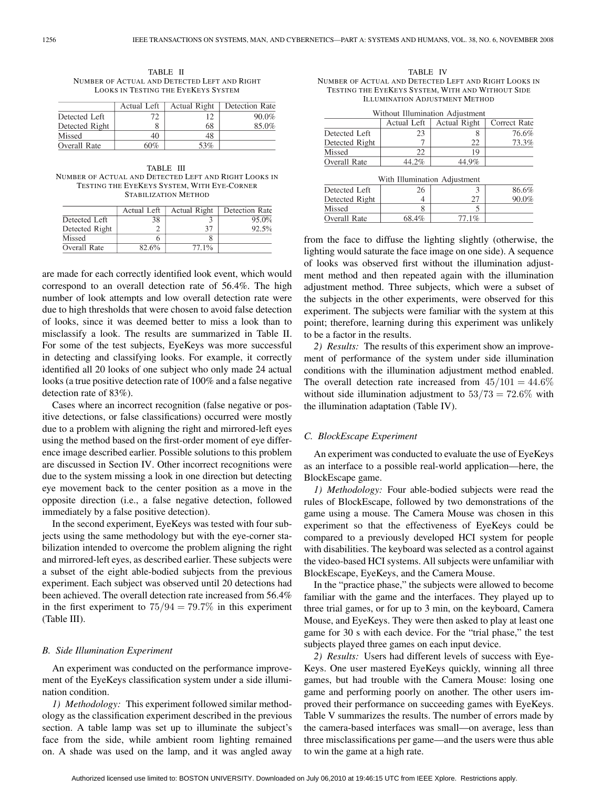|                | Actual Left | Actual Right | Detection Rate |
|----------------|-------------|--------------|----------------|
| Detected Left  | 70          |              | 90.0%          |
| Detected Right |             | 68           | 85.0%          |
| Missed         | 40          | 48           |                |
| Overall Rate   | 60%         | 530          |                |

TABLE II NUMBER OF ACTUAL AND DETECTED LEFT AND RIGHT LOOKS IN TESTING THE EYEKEYS SYSTEM

Overall Kate

TABLE III NUMBER OF ACTUAL AND DETECTED LEFT AND RIGHT LOOKS IN TESTING THE EYEKEYS SYSTEM, WITH EYE-CORNER STABILIZATION METHOD

|                | Actual Left | Actual Right | Detection Rate |
|----------------|-------------|--------------|----------------|
| Detected Left  | 38          |              | 95.0%          |
| Detected Right |             | 37           | 92.5%          |
| Missed         |             |              |                |
| Overall Rate   | 82.6%       | 77.1%        |                |

are made for each correctly identified look event, which would correspond to an overall detection rate of 56.4%. The high number of look attempts and low overall detection rate were due to high thresholds that were chosen to avoid false detection of looks, since it was deemed better to miss a look than to misclassify a look. The results are summarized in Table II. For some of the test subjects, EyeKeys was more successful in detecting and classifying looks. For example, it correctly identified all 20 looks of one subject who only made 24 actual looks (a true positive detection rate of 100% and a false negative detection rate of 83%).

Cases where an incorrect recognition (false negative or positive detections, or false classifications) occurred were mostly due to a problem with aligning the right and mirrored-left eyes using the method based on the first-order moment of eye difference image described earlier. Possible solutions to this problem are discussed in Section IV. Other incorrect recognitions were due to the system missing a look in one direction but detecting eye movement back to the center position as a move in the opposite direction (i.e., a false negative detection, followed immediately by a false positive detection).

In the second experiment, EyeKeys was tested with four subjects using the same methodology but with the eye-corner stabilization intended to overcome the problem aligning the right and mirrored-left eyes, as described earlier. These subjects were a subset of the eight able-bodied subjects from the previous experiment. Each subject was observed until 20 detections had been achieved. The overall detection rate increased from 56.4% in the first experiment to  $75/94 = 79.7\%$  in this experiment (Table III).

#### *B. Side Illumination Experiment*

An experiment was conducted on the performance improvement of the EyeKeys classification system under a side illumination condition.

*1) Methodology:* This experiment followed similar methodology as the classification experiment described in the previous section. A table lamp was set up to illuminate the subject's face from the side, while ambient room lighting remained on. A shade was used on the lamp, and it was angled away

| Without Illumination Adjustment |             |              |              |
|---------------------------------|-------------|--------------|--------------|
|                                 | Actual Left | Actual Right | Correct Rate |
| Detected Left                   | 23          |              | 76.6%        |
| Detected Right                  |             | 22           | 73.3%        |
| Missed                          | 22          | 19           |              |
| Overall Rate                    | 14.2%       | 44.9%        |              |

| With Illumination Adjustment |       |       |          |
|------------------------------|-------|-------|----------|
| Detected Left                | 26    |       | 86.6%    |
| Detected Right               |       | าา    | $90.0\%$ |
| Missed                       |       |       |          |
| Overall Rate                 | 68.4% | 77.1% |          |

from the face to diffuse the lighting slightly (otherwise, the lighting would saturate the face image on one side). A sequence of looks was observed first without the illumination adjustment method and then repeated again with the illumination adjustment method. Three subjects, which were a subset of the subjects in the other experiments, were observed for this experiment. The subjects were familiar with the system at this point; therefore, learning during this experiment was unlikely to be a factor in the results.

*2) Results:* The results of this experiment show an improvement of performance of the system under side illumination conditions with the illumination adjustment method enabled. The overall detection rate increased from  $45/101 = 44.6\%$ without side illumination adjustment to  $53/73 = 72.6\%$  with the illumination adaptation (Table IV).

## *C. BlockEscape Experiment*

An experiment was conducted to evaluate the use of EyeKeys as an interface to a possible real-world application—here, the BlockEscape game.

*1) Methodology:* Four able-bodied subjects were read the rules of BlockEscape, followed by two demonstrations of the game using a mouse. The Camera Mouse was chosen in this experiment so that the effectiveness of EyeKeys could be compared to a previously developed HCI system for people with disabilities. The keyboard was selected as a control against the video-based HCI systems. All subjects were unfamiliar with BlockEscape, EyeKeys, and the Camera Mouse.

In the "practice phase," the subjects were allowed to become familiar with the game and the interfaces. They played up to three trial games, or for up to 3 min, on the keyboard, Camera Mouse, and EyeKeys. They were then asked to play at least one game for 30 s with each device. For the "trial phase," the test subjects played three games on each input device.

*2) Results:* Users had different levels of success with Eye-Keys. One user mastered EyeKeys quickly, winning all three games, but had trouble with the Camera Mouse: losing one game and performing poorly on another. The other users improved their performance on succeeding games with EyeKeys. Table V summarizes the results. The number of errors made by the camera-based interfaces was small—on average, less than three misclassifications per game—and the users were thus able to win the game at a high rate.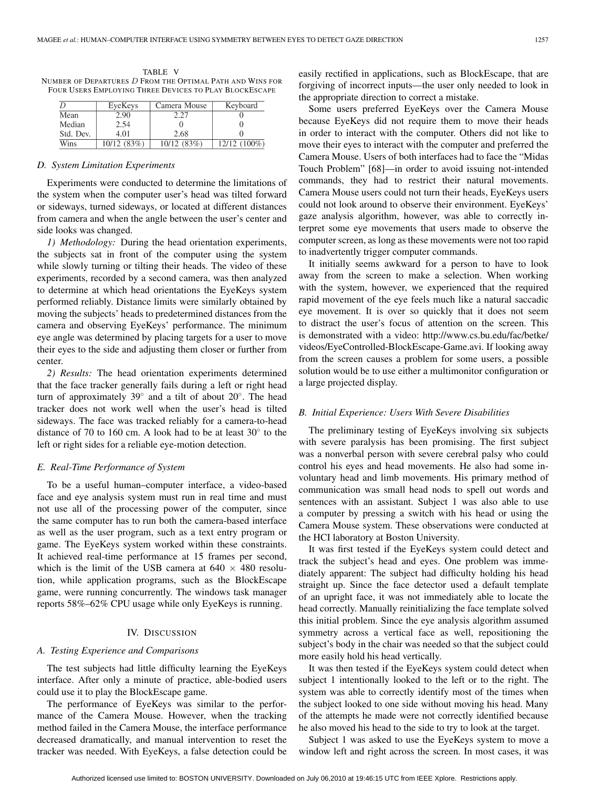TABLE V NUMBER OF DEPARTURES D FROM THE OPTIMAL PATH AND WINS FOR FOUR USERS EMPLOYING THREE DEVICES TO PLAY BLOCKESCAPE

|           | EyeKeys     | Camera Mouse | Keyboard            |
|-----------|-------------|--------------|---------------------|
| Mean      | 2.90        |              |                     |
| Median    | 2.54        |              |                     |
| Std. Dev. | 4.01        | 2.68         |                     |
| Wins      | 10/12 (83%) | 10/12 (83%)  | 12/12.<br>$(100\%)$ |

#### *D. System Limitation Experiments*

Experiments were conducted to determine the limitations of the system when the computer user's head was tilted forward or sideways, turned sideways, or located at different distances from camera and when the angle between the user's center and side looks was changed.

*1) Methodology:* During the head orientation experiments, the subjects sat in front of the computer using the system while slowly turning or tilting their heads. The video of these experiments, recorded by a second camera, was then analyzed to determine at which head orientations the EyeKeys system performed reliably. Distance limits were similarly obtained by moving the subjects' heads to predetermined distances from the camera and observing EyeKeys' performance. The minimum eye angle was determined by placing targets for a user to move their eyes to the side and adjusting them closer or further from center.

*2) Results:* The head orientation experiments determined that the face tracker generally fails during a left or right head turn of approximately 39◦ and a tilt of about 20◦. The head tracker does not work well when the user's head is tilted sideways. The face was tracked reliably for a camera-to-head distance of 70 to 160 cm. A look had to be at least 30◦ to the left or right sides for a reliable eye-motion detection.

## *E. Real-Time Performance of System*

To be a useful human–computer interface, a video-based face and eye analysis system must run in real time and must not use all of the processing power of the computer, since the same computer has to run both the camera-based interface as well as the user program, such as a text entry program or game. The EyeKeys system worked within these constraints. It achieved real-time performance at 15 frames per second, which is the limit of the USB camera at  $640 \times 480$  resolution, while application programs, such as the BlockEscape game, were running concurrently. The windows task manager reports 58%–62% CPU usage while only EyeKeys is running.

## IV. DISCUSSION

## *A. Testing Experience and Comparisons*

The test subjects had little difficulty learning the EyeKeys interface. After only a minute of practice, able-bodied users could use it to play the BlockEscape game.

The performance of EyeKeys was similar to the performance of the Camera Mouse. However, when the tracking method failed in the Camera Mouse, the interface performance decreased dramatically, and manual intervention to reset the tracker was needed. With EyeKeys, a false detection could be easily rectified in applications, such as BlockEscape, that are forgiving of incorrect inputs—the user only needed to look in the appropriate direction to correct a mistake.

Some users preferred EyeKeys over the Camera Mouse because EyeKeys did not require them to move their heads in order to interact with the computer. Others did not like to move their eyes to interact with the computer and preferred the Camera Mouse. Users of both interfaces had to face the "Midas Touch Problem" [68]—in order to avoid issuing not-intended commands, they had to restrict their natural movements. Camera Mouse users could not turn their heads, EyeKeys users could not look around to observe their environment. EyeKeys' gaze analysis algorithm, however, was able to correctly interpret some eye movements that users made to observe the computer screen, as long as these movements were not too rapid to inadvertently trigger computer commands.

It initially seems awkward for a person to have to look away from the screen to make a selection. When working with the system, however, we experienced that the required rapid movement of the eye feels much like a natural saccadic eye movement. It is over so quickly that it does not seem to distract the user's focus of attention on the screen. This is demonstrated with a video: http://www.cs.bu.edu/fac/betke/ videos/EyeControlled-BlockEscape-Game.avi. If looking away from the screen causes a problem for some users, a possible solution would be to use either a multimonitor configuration or a large projected display.

## *B. Initial Experience: Users With Severe Disabilities*

The preliminary testing of EyeKeys involving six subjects with severe paralysis has been promising. The first subject was a nonverbal person with severe cerebral palsy who could control his eyes and head movements. He also had some involuntary head and limb movements. His primary method of communication was small head nods to spell out words and sentences with an assistant. Subject 1 was also able to use a computer by pressing a switch with his head or using the Camera Mouse system. These observations were conducted at the HCI laboratory at Boston University.

It was first tested if the EyeKeys system could detect and track the subject's head and eyes. One problem was immediately apparent: The subject had difficulty holding his head straight up. Since the face detector used a default template of an upright face, it was not immediately able to locate the head correctly. Manually reinitializing the face template solved this initial problem. Since the eye analysis algorithm assumed symmetry across a vertical face as well, repositioning the subject's body in the chair was needed so that the subject could more easily hold his head vertically.

It was then tested if the EyeKeys system could detect when subject 1 intentionally looked to the left or to the right. The system was able to correctly identify most of the times when the subject looked to one side without moving his head. Many of the attempts he made were not correctly identified because he also moved his head to the side to try to look at the target.

Subject 1 was asked to use the EyeKeys system to move a window left and right across the screen. In most cases, it was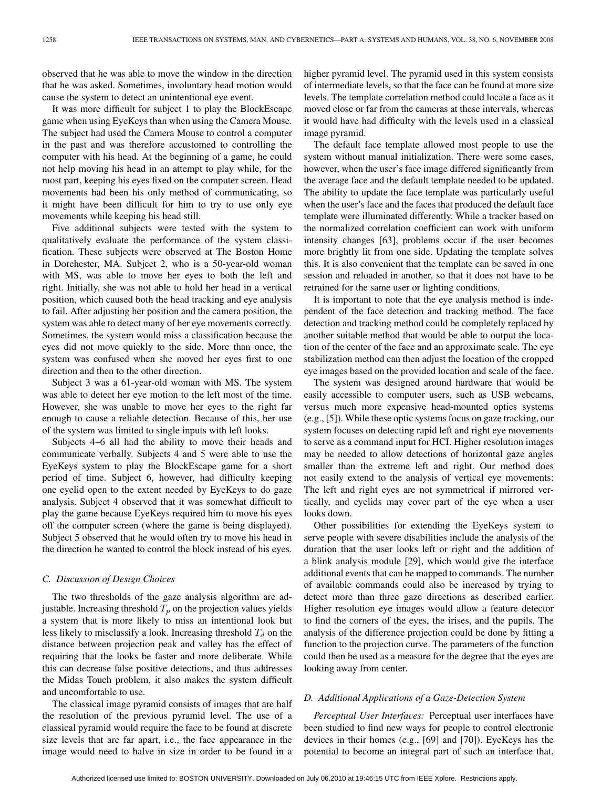observed that he was able to move the window in the direction that he was asked. Sometimes, involuntary head motion would cause the system to detect an unintentional eye event.

It was more difficult for subject 1 to play the BlockEscape game when using EyeKeys than when using the Camera Mouse. The subject had used the Camera Mouse to control a computer in the past and was therefore accustomed to controlling the computer with his head. At the beginning of a game, he could not help moving his head in an attempt to play while, for the most part, keeping his eyes fixed on the computer screen. Head movements had been his only method of communicating, so it might have been difficult for him to try to use only eye movements while keeping his head still.

Five additional subjects were tested with the system to qualitatively evaluate the performance of the system classification. These subjects were observed at The Boston Home in Dorchester, MA. Subject 2, who is a 50-year-old woman with MS, was able to move her eyes to both the left and right. Initially, she was not able to hold her head in a vertical position, which caused both the head tracking and eye analysis to fail. After adjusting her position and the camera position, the system was able to detect many of her eye movements correctly. Sometimes, the system would miss a classification because the eyes did not move quickly to the side. More than once, the system was confused when she moved her eyes first to one direction and then to the other direction.

Subject 3 was a 61-year-old woman with MS. The system was able to detect her eye motion to the left most of the time. However, she was unable to move her eyes to the right far enough to cause a reliable detection. Because of this, her use of the system was limited to single inputs with left looks.

Subjects 4–6 all had the ability to move their heads and communicate verbally. Subjects 4 and 5 were able to use the EyeKeys system to play the BlockEscape game for a short period of time. Subject 6, however, had difficulty keeping one eyelid open to the extent needed by EyeKeys to do gaze analysis. Subject 4 observed that it was somewhat difficult to play the game because EyeKeys required him to move his eyes off the computer screen (where the game is being displayed). Subject 5 observed that he would often try to move his head in the direction he wanted to control the block instead of his eyes.

## *C. Discussion of Design Choices*

The two thresholds of the gaze analysis algorithm are adjustable. Increasing threshold  $T_p$  on the projection values yields a system that is more likely to miss an intentional look but less likely to misclassify a look. Increasing threshold  $T_d$  on the distance between projection peak and valley has the effect of requiring that the looks be faster and more deliberate. While this can decrease false positive detections, and thus addresses the Midas Touch problem, it also makes the system difficult and uncomfortable to use.

The classical image pyramid consists of images that are half the resolution of the previous pyramid level. The use of a classical pyramid would require the face to be found at discrete size levels that are far apart, i.e., the face appearance in the image would need to halve in size in order to be found in a higher pyramid level. The pyramid used in this system consists of intermediate levels, so that the face can be found at more size levels. The template correlation method could locate a face as it moved close or far from the cameras at these intervals, whereas it would have had difficulty with the levels used in a classical image pyramid.

The default face template allowed most people to use the system without manual initialization. There were some cases, however, when the user's face image differed significantly from the average face and the default template needed to be updated. The ability to update the face template was particularly useful when the user's face and the faces that produced the default face template were illuminated differently. While a tracker based on the normalized correlation coefficient can work with uniform intensity changes [63], problems occur if the user becomes more brightly lit from one side. Updating the template solves this. It is also convenient that the template can be saved in one session and reloaded in another, so that it does not have to be retrained for the same user or lighting conditions.

It is important to note that the eye analysis method is independent of the face detection and tracking method. The face detection and tracking method could be completely replaced by another suitable method that would be able to output the location of the center of the face and an approximate scale. The eye stabilization method can then adjust the location of the cropped eye images based on the provided location and scale of the face.

The system was designed around hardware that would be easily accessible to computer users, such as USB webcams, versus much more expensive head-mounted optics systems (e.g., [5]). While these optic systems focus on gaze tracking, our system focuses on detecting rapid left and right eye movements to serve as a command input for HCI. Higher resolution images may be needed to allow detections of horizontal gaze angles smaller than the extreme left and right. Our method does not easily extend to the analysis of vertical eye movements: The left and right eyes are not symmetrical if mirrored vertically, and eyelids may cover part of the eye when a user looks down.

Other possibilities for extending the EyeKeys system to serve people with severe disabilities include the analysis of the duration that the user looks left or right and the addition of a blink analysis module [29], which would give the interface additional events that can be mapped to commands. The number of available commands could also be increased by trying to detect more than three gaze directions as described earlier. Higher resolution eye images would allow a feature detector to find the corners of the eyes, the irises, and the pupils. The analysis of the difference projection could be done by fitting a function to the projection curve. The parameters of the function could then be used as a measure for the degree that the eyes are looking away from center.

## *D. Additional Applications of a Gaze-Detection System*

*Perceptual User Interfaces:* Perceptual user interfaces have been studied to find new ways for people to control electronic devices in their homes (e.g., [69] and [70]). EyeKeys has the potential to become an integral part of such an interface that,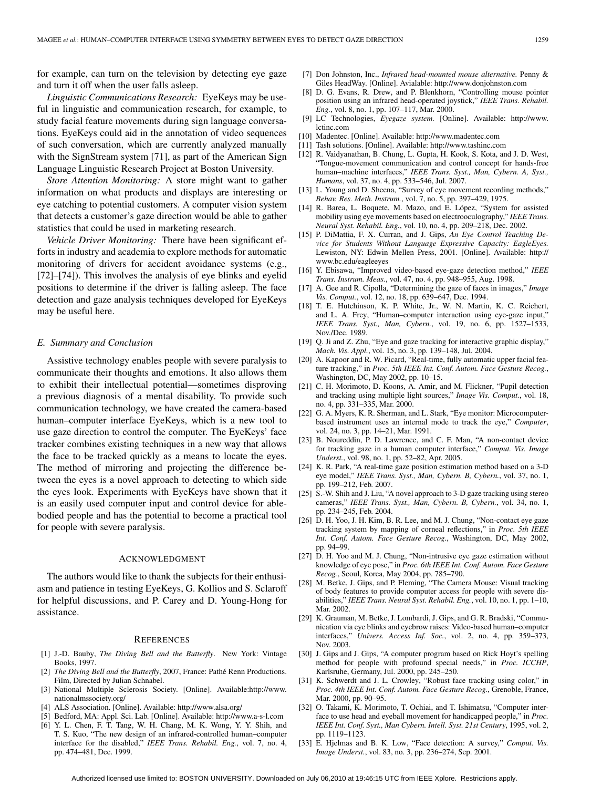for example, can turn on the television by detecting eye gaze and turn it off when the user falls asleep.

*Linguistic Communications Research:* EyeKeys may be useful in linguistic and communication research, for example, to study facial feature movements during sign language conversations. EyeKeys could aid in the annotation of video sequences of such conversation, which are currently analyzed manually with the SignStream system [71], as part of the American Sign Language Linguistic Research Project at Boston University.

*Store Attention Monitoring:* A store might want to gather information on what products and displays are interesting or eye catching to potential customers. A computer vision system that detects a customer's gaze direction would be able to gather statistics that could be used in marketing research.

*Vehicle Driver Monitoring:* There have been significant efforts in industry and academia to explore methods for automatic monitoring of drivers for accident avoidance systems (e.g., [72]–[74]). This involves the analysis of eye blinks and eyelid positions to determine if the driver is falling asleep. The face detection and gaze analysis techniques developed for EyeKeys may be useful here.

## *E. Summary and Conclusion*

Assistive technology enables people with severe paralysis to communicate their thoughts and emotions. It also allows them to exhibit their intellectual potential—sometimes disproving a previous diagnosis of a mental disability. To provide such communication technology, we have created the camera-based human–computer interface EyeKeys, which is a new tool to use gaze direction to control the computer. The EyeKeys' face tracker combines existing techniques in a new way that allows the face to be tracked quickly as a means to locate the eyes. The method of mirroring and projecting the difference between the eyes is a novel approach to detecting to which side the eyes look. Experiments with EyeKeys have shown that it is an easily used computer input and control device for ablebodied people and has the potential to become a practical tool for people with severe paralysis.

## ACKNOWLEDGMENT

The authors would like to thank the subjects for their enthusiasm and patience in testing EyeKeys, G. Kollios and S. Sclaroff for helpful discussions, and P. Carey and D. Young-Hong for assistance.

#### **REFERENCES**

- [1] J.-D. Bauby, *The Diving Bell and the Butterfly*. New York: Vintage Books, 1997.
- [2] *The Diving Bell and the Butterfly*, 2007, France: Pathé Renn Productions. Film, Directed by Julian Schnabel.
- [3] National Multiple Sclerosis Society. [Online]. Available:http://www. nationalmssociety.org/
- [4] ALS Association. [Online]. Available: http://www.alsa.org/
- [5] Bedford, MA: Appl. Sci. Lab. [Online]. Available: http://www.a-s-l.com
- [6] Y. L. Chen, F. T. Tang, W. H. Chang, M. K. Wong, Y. Y. Shih, and T. S. Kuo, "The new design of an infrared-controlled human–computer interface for the disabled," *IEEE Trans. Rehabil. Eng.*, vol. 7, no. 4, pp. 474–481, Dec. 1999.
- [7] Don Johnston, Inc., *Infrared head-mounted mouse alternative.* Penny & Giles HeadWay. [Online]. Avialable: http://www.donjohnston.com
- [8] D. G. Evans, R. Drew, and P. Blenkhorn, "Controlling mouse pointer position using an infrared head-operated joystick," *IEEE Trans. Rehabil. Eng.*, vol. 8, no. 1, pp. 107–117, Mar. 2000.
- [9] LC Technologies, *Eyegaze system.* [Online]. Available: http://www. lctinc.com
- [10] Madentec. [Online]. Available: http://www.madentec.com [11] Tash solutions. [Online]. Available: http://www.tashinc.com
- [12] R. Vaidyanathan, B. Chung, L. Gupta, H. Kook, S. Kota, and J. D. West, "Tongue-movement communication and control concept for hands-free human–machine interfaces," *IEEE Trans. Syst., Man, Cybern. A, Syst.,*
- *Humans*, vol. 37, no. 4, pp. 533–546, Jul. 2007. [13] L. Young and D. Sheena, "Survey of eye movement recording methods," *Behav. Res. Meth. Instrum.*, vol. 7, no. 5, pp. 397–429, 1975.
- [14] R. Barea, L. Boquete, M. Mazo, and E. López, "System for assisted mobility using eye movements based on electrooculography," *IEEE Trans. Neural Syst. Rehabil. Eng.*, vol. 10, no. 4, pp. 209–218, Dec. 2002.
- [15] P. DiMattia, F. X. Curran, and J. Gips, *An Eye Control Teaching Device for Students Without Language Expressive Capacity: EagleEyes.* Lewiston, NY: Edwin Mellen Press, 2001. [Online]. Available: http:// www.bc.edu/eagleeyes
- [16] Y. Ebisawa, "Improved video-based eye-gaze detection method," *IEEE Trans. Instrum. Meas.*, vol. 47, no. 4, pp. 948–955, Aug. 1998.
- [17] A. Gee and R. Cipolla, "Determining the gaze of faces in images," *Image Vis. Comput.*, vol. 12, no. 18, pp. 639–647, Dec. 1994.
- [18] T. E. Hutchinson, K. P. White, Jr., W. N. Martin, K. C. Reichert, and L. A. Frey, "Human–computer interaction using eye-gaze input," *IEEE Trans. Syst., Man, Cybern.*, vol. 19, no. 6, pp. 1527–1533, Nov./Dec. 1989.
- [19] Q. Ji and Z. Zhu, "Eye and gaze tracking for interactive graphic display," *Mach. Vis. Appl.*, vol. 15, no. 3, pp. 139–148, Jul. 2004.
- [20] A. Kapoor and R. W. Picard, "Real-time, fully automatic upper facial feature tracking," in *Proc. 5th IEEE Int. Conf. Autom. Face Gesture Recog.*, Washington, DC, May 2002, pp. 10–15.
- [21] C. H. Morimoto, D. Koons, A. Amir, and M. Flickner, "Pupil detection and tracking using multiple light sources," *Image Vis. Comput.*, vol. 18, no. 4, pp. 331–335, Mar. 2000.
- [22] G. A. Myers, K. R. Sherman, and L. Stark, "Eye monitor: Microcomputerbased instrument uses an internal mode to track the eye," *Computer*, vol. 24, no. 3, pp. 14–21, Mar. 1991.
- [23] B. Noureddin, P. D. Lawrence, and C. F. Man, "A non-contact device for tracking gaze in a human computer interface," *Comput. Vis. Image Underst.*, vol. 98, no. 1, pp. 52–82, Apr. 2005.
- [24] K. R. Park, "A real-time gaze position estimation method based on a 3-D eye model," *IEEE Trans. Syst., Man, Cybern. B, Cybern.*, vol. 37, no. 1, pp. 199–212, Feb. 2007.
- [25] S.-W. Shih and J. Liu, "A novel approach to 3-D gaze tracking using stereo cameras," *IEEE Trans. Syst., Man, Cybern. B, Cybern.*, vol. 34, no. 1, pp. 234–245, Feb. 2004.
- [26] D. H. Yoo, J. H. Kim, B. R. Lee, and M. J. Chung, "Non-contact eye gaze tracking system by mapping of corneal reflections," in *Proc. 5th IEEE Int. Conf. Autom. Face Gesture Recog.*, Washington, DC, May 2002, pp. 94–99.
- [27] D. H. Yoo and M. J. Chung, "Non-intrusive eye gaze estimation without knowledge of eye pose," in *Proc. 6th IEEE Int. Conf. Autom. Face Gesture Recog.*, Seoul, Korea, May 2004, pp. 785–790.
- [28] M. Betke, J. Gips, and P. Fleming, "The Camera Mouse: Visual tracking of body features to provide computer access for people with severe disabilities," *IEEE Trans. Neural Syst. Rehabil. Eng.*, vol. 10, no. 1, pp. 1–10, Mar. 2002.
- [29] K. Grauman, M. Betke, J. Lombardi, J. Gips, and G. R. Bradski, "Communication via eye blinks and eyebrow raises: Video-based human–computer interfaces," *Univers. Access Inf. Soc.*, vol. 2, no. 4, pp. 359–373, Nov. 2003.
- [30] J. Gips and J. Gips, "A computer program based on Rick Hoyt's spelling method for people with profound special needs," in *Proc. ICCHP*, Karlsruhe, Germany, Jul. 2000, pp. 245–250.
- [31] K. Schwerdt and J. L. Crowley, "Robust face tracking using color," in *Proc. 4th IEEE Int. Conf. Autom. Face Gesture Recog.*, Grenoble, France, Mar. 2000, pp. 90–95.
- [32] O. Takami, K. Morimoto, T. Ochiai, and T. Ishimatsu, "Computer interface to use head and eyeball movement for handicapped people," in *Proc. IEEE Int. Conf. Syst., Man Cybern. Intell. Syst. 21st Century*, 1995, vol. 2, pp. 1119–1123.
- [33] E. Hjelmas and B. K. Low, "Face detection: A survey," *Comput. Vis. Image Underst.*, vol. 83, no. 3, pp. 236–274, Sep. 2001.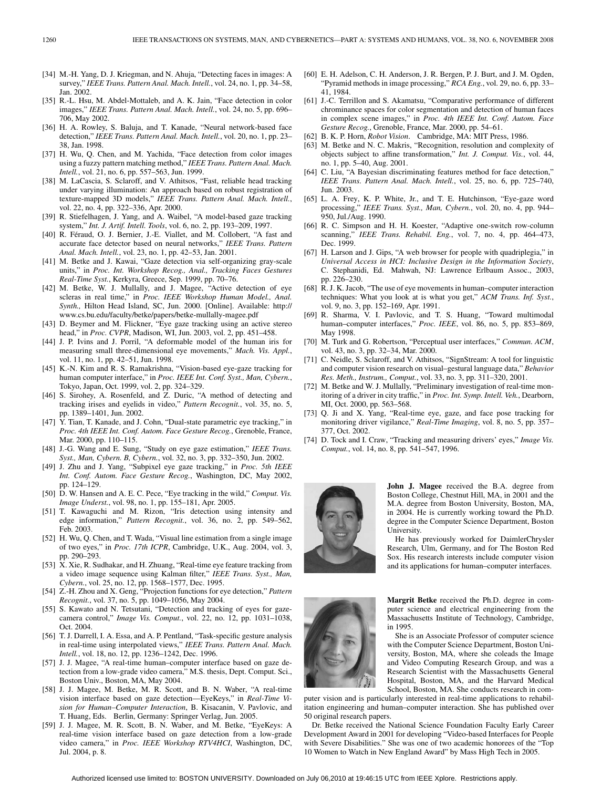- [34] M.-H. Yang, D. J. Kriegman, and N. Ahuja, "Detecting faces in images: A survey," *IEEE Trans. Pattern Anal. Mach. Intell.*, vol. 24, no. 1, pp. 34–58, Jan. 2002.
- [35] R.-L. Hsu, M. Abdel-Mottaleb, and A. K. Jain, "Face detection in color images," *IEEE Trans. Pattern Anal. Mach. Intell.*, vol. 24, no. 5, pp. 696– 706, May 2002.
- [36] H. A. Rowley, S. Baluja, and T. Kanade, "Neural network-based face detection," *IEEE Trans. Pattern Anal. Mach. Intell.*, vol. 20, no. 1, pp. 23– 38, Jan. 1998.
- [37] H. Wu, Q. Chen, and M. Yachida, "Face detection from color images using a fuzzy pattern matching method," *IEEE Trans. Pattern Anal. Mach. Intell.*, vol. 21, no. 6, pp. 557–563, Jun. 1999.
- [38] M. LaCascia, S. Sclaroff, and V. Athitsos, "Fast, reliable head tracking under varying illumination: An approach based on robust registration of texture-mapped 3D models," *IEEE Trans. Pattern Anal. Mach. Intell.*, vol. 22, no. 4, pp. 322–336, Apr. 2000.
- [39] R. Stiefelhagen, J. Yang, and A. Waibel, "A model-based gaze tracking system," *Int. J. Artif. Intell. Tools*, vol. 6, no. 2, pp. 193–209, 1997.
- [40] R. Féraud, O. J. Bernier, J.-E. Viallet, and M. Collobert, "A fast and accurate face detector based on neural networks," *IEEE Trans. Pattern Anal. Mach. Intell.*, vol. 23, no. 1, pp. 42–53, Jan. 2001.
- [41] M. Betke and J. Kawai, "Gaze detection via self-organizing gray-scale units," in *Proc. Int. Workshop Recog., Anal., Tracking Faces Gestures Real-Time Syst.*, Kerkyra, Greece, Sep. 1999, pp. 70–76.
- [42] M. Betke, W. J. Mullally, and J. Magee, "Active detection of eye scleras in real time," in *Proc. IEEE Workshop Human Model., Anal. Synth.,* Hilton Head Island, SC, Jun. 2000. [Online]. Available: http:// www.cs.bu.edu/faculty/betke/papers/betke-mullally-magee.pdf
- [43] D. Beymer and M. Flickner, "Eye gaze tracking using an active stereo head," in *Proc. CVPR*, Madison, WI, Jun. 2003, vol. 2, pp. 451–458.
- [44] J. P. Ivins and J. Porril, "A deformable model of the human iris for measuring small three-dimensional eye movements," *Mach. Vis. Appl.*, vol. 11, no. 1, pp. 42–51, Jun. 1998.
- [45] K.-N. Kim and R. S. Ramakrishna, "Vision-based eye-gaze tracking for human computer interface," in *Proc. IEEE Int. Conf. Syst., Man, Cybern.*, Tokyo, Japan, Oct. 1999, vol. 2, pp. 324–329.
- [46] S. Sirohey, A. Rosenfeld, and Z. Duric, "A method of detecting and tracking irises and eyelids in video," *Pattern Recognit.*, vol. 35, no. 5, pp. 1389–1401, Jun. 2002.
- [47] Y. Tian, T. Kanade, and J. Cohn, "Dual-state parametric eye tracking," in *Proc. 4th IEEE Int. Conf. Autom. Face Gesture Recog.*, Grenoble, France, Mar. 2000, pp. 110–115.
- [48] J.-G. Wang and E. Sung, "Study on eye gaze estimation," *IEEE Trans. Syst., Man, Cybern. B, Cybern.*, vol. 32, no. 3, pp. 332–350, Jun. 2002.
- [49] J. Zhu and J. Yang, "Subpixel eye gaze tracking," in *Proc. 5th IEEE Int. Conf. Autom. Face Gesture Recog.*, Washington, DC, May 2002, pp. 124–129.
- [50] D. W. Hansen and A. E. C. Pece, "Eye tracking in the wild," *Comput. Vis. Image Underst.*, vol. 98, no. 1, pp. 155–181, Apr. 2005.
- [51] T. Kawaguchi and M. Rizon, "Iris detection using intensity and edge information," *Pattern Recognit.*, vol. 36, no. 2, pp. 549–562, Feb. 2003.
- [52] H. Wu, Q. Chen, and T. Wada, "Visual line estimation from a single image of two eyes," in *Proc. 17th ICPR*, Cambridge, U.K., Aug. 2004, vol. 3, pp. 290–293.
- [53]  $\hat{X}$ . Xie, R. Sudhakar, and H. Zhuang, "Real-time eye feature tracking from a video image sequence using Kalman filter," *IEEE Trans. Syst., Man, Cybern.*, vol. 25, no. 12, pp. 1568–1577, Dec. 1995.
- [54] Z.-H. Zhou and X. Geng, "Projection functions for eye detection," *Pattern Recognit.*, vol. 37, no. 5, pp. 1049–1056, May 2004.
- [55] S. Kawato and N. Tetsutani, "Detection and tracking of eyes for gazecamera control," *Image Vis. Comput.*, vol. 22, no. 12, pp. 1031–1038, Oct. 2004.
- [56] T. J. Darrell, I. A. Essa, and A. P. Pentland, "Task-specific gesture analysis in real-time using interpolated views," *IEEE Trans. Pattern Anal. Mach. Intell.*, vol. 18, no. 12, pp. 1236–1242, Dec. 1996.
- [57] J. J. Magee, "A real-time human–computer interface based on gaze detection from a low-grade video camera," M.S. thesis, Dept. Comput. Sci., Boston Univ., Boston, MA, May 2004.
- [58] J. J. Magee, M. Betke, M. R. Scott, and B. N. Waber, "A real-time vision interface based on gaze detection—EyeKeys," in *Real-Time Vision for Human–Computer Interaction*, B. Kisacanin, V. Pavlovic, and T. Huang, Eds. Berlin, Germany: Springer Verlag, Jun. 2005.
- [59] J. J. Magee, M. R. Scott, B. N. Waber, and M. Betke, "EyeKeys: A real-time vision interface based on gaze detection from a low-grade video camera," in *Proc. IEEE Workshop RTV4HCI*, Washington, DC, Jul. 2004, p. 8.
- [60] E. H. Adelson, C. H. Anderson, J. R. Bergen, P. J. Burt, and J. M. Ogden, "Pyramid methods in image processing," *RCA Eng.*, vol. 29, no. 6, pp. 33– 41, 1984.
- [61] J.-C. Terrillon and S. Akamatsu, "Comparative performance of different chrominance spaces for color segmentation and detection of human faces in complex scene images," in *Proc. 4th IEEE Int. Conf. Autom. Face Gesture Recog.*, Grenoble, France, Mar. 2000, pp. 54–61.
- [62] B. K. P. Horn, *Robot Vision*. Cambridge, MA: MIT Press, 1986.
- [63] M. Betke and N. C. Makris, "Recognition, resolution and complexity of objects subject to affine transformation," *Int. J. Comput. Vis.*, vol. 44, no. 1, pp. 5–40, Aug. 2001.
- [64] C. Liu, "A Bayesian discriminating features method for face detection," *IEEE Trans. Pattern Anal. Mach. Intell.*, vol. 25, no. 6, pp. 725–740, Jun. 2003.
- [65] L. A. Frey, K. P. White, Jr., and T. E. Hutchinson, "Eye-gaze word processing," *IEEE Trans. Syst., Man, Cybern.*, vol. 20, no. 4, pp. 944– 950, Jul./Aug. 1990.
- [66] R. C. Simpson and H. H. Koester, "Adaptive one-switch row-column scanning," *IEEE Trans. Rehabil. Eng.*, vol. 7, no. 4, pp. 464–473, Dec. 1999.
- [67] H. Larson and J. Gips, "A web browser for people with quadriplegia," in *Universal Access in HCI: Inclusive Design in the Information Society*, C. Stephanidi, Ed. Mahwah, NJ: Lawrence Erlbaum Assoc., 2003, pp. 226–230.
- [68] R. J. K. Jacob, "The use of eye movements in human–computer interaction techniques: What you look at is what you get," *ACM Trans. Inf. Syst.*, vol. 9, no. 3, pp. 152–169, Apr. 1991.
- [69] R. Sharma, V. I. Pavlovic, and T. S. Huang, "Toward multimodal human–computer interfaces," *Proc. IEEE*, vol. 86, no. 5, pp. 853–869, May 1998.
- [70] M. Turk and G. Robertson, "Perceptual user interfaces," *Commun. ACM*, vol. 43, no. 3, pp. 32–34, Mar. 2000.
- [71] C. Neidle, S. Sclaroff, and V. Athitsos, "SignStream: A tool for linguistic and computer vision research on visual–gestural language data," *Behavior Res. Meth., Instrum., Comput.*, vol. 33, no. 3, pp. 311–320, 2001.
- [72] M. Betke and W. J. Mullally, "Preliminary investigation of real-time monitoring of a driver in city traffic," in *Proc. Int. Symp. Intell. Veh.*, Dearborn, MI, Oct. 2000, pp. 563–568.
- [73] Q. Ji and X. Yang, "Real-time eye, gaze, and face pose tracking for monitoring driver vigilance," *Real-Time Imaging*, vol. 8, no. 5, pp. 357– 377, Oct. 2002.
- [74] D. Tock and I. Craw, "Tracking and measuring drivers' eyes," *Image Vis. Comput.*, vol. 14, no. 8, pp. 541–547, 1996.



**John J. Magee** received the B.A. degree from Boston College, Chestnut Hill, MA, in 2001 and the M.A. degree from Boston University, Boston, MA, in 2004. He is currently working toward the Ph.D. degree in the Computer Science Department, Boston University.

He has previously worked for DaimlerChrysler Research, Ulm, Germany, and for The Boston Red Sox. His research interests include computer vision and its applications for human–computer interfaces.



**Margrit Betke** received the Ph.D. degree in computer science and electrical engineering from the Massachusetts Institute of Technology, Cambridge, in 1995.

She is an Associate Professor of computer science with the Computer Science Department, Boston University, Boston, MA, where she coleads the Image and Video Computing Research Group, and was a Research Scientist with the Massachusetts General Hospital, Boston, MA, and the Harvard Medical School, Boston, MA. She conducts research in com-

puter vision and is particularly interested in real-time applications to rehabilitation engineering and human–computer interaction. She has published over 50 original research papers.

Dr. Betke received the National Science Foundation Faculty Early Career Development Award in 2001 for developing "Video-based Interfaces for People with Severe Disabilities." She was one of two academic honorees of the "Top 10 Women to Watch in New England Award" by Mass High Tech in 2005.